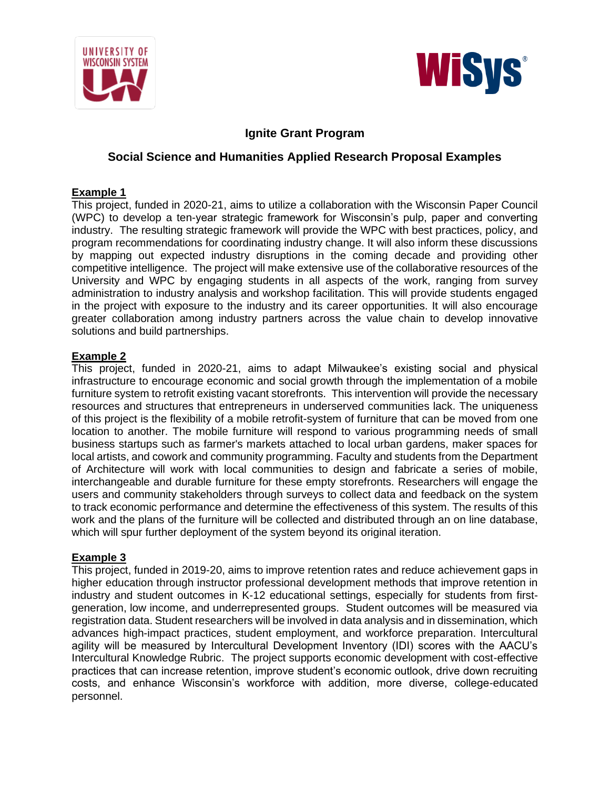



# **Ignite Grant Program**

# **Social Science and Humanities Applied Research Proposal Examples**

## **Example 1**

This project, funded in 2020-21, aims to utilize a collaboration with the Wisconsin Paper Council (WPC) to develop a ten-year strategic framework for Wisconsin's pulp, paper and converting industry. The resulting strategic framework will provide the WPC with best practices, policy, and program recommendations for coordinating industry change. It will also inform these discussions by mapping out expected industry disruptions in the coming decade and providing other competitive intelligence. The project will make extensive use of the collaborative resources of the University and WPC by engaging students in all aspects of the work, ranging from survey administration to industry analysis and workshop facilitation. This will provide students engaged in the project with exposure to the industry and its career opportunities. It will also encourage greater collaboration among industry partners across the value chain to develop innovative solutions and build partnerships.

## **Example 2**

This project, funded in 2020-21, aims to adapt Milwaukee's existing social and physical infrastructure to encourage economic and social growth through the implementation of a mobile furniture system to retrofit existing vacant storefronts. This intervention will provide the necessary resources and structures that entrepreneurs in underserved communities lack. The uniqueness of this project is the flexibility of a mobile retrofit-system of furniture that can be moved from one location to another. The mobile furniture will respond to various programming needs of small business startups such as farmer's markets attached to local urban gardens, maker spaces for local artists, and cowork and community programming. Faculty and students from the Department of Architecture will work with local communities to design and fabricate a series of mobile, interchangeable and durable furniture for these empty storefronts. Researchers will engage the users and community stakeholders through surveys to collect data and feedback on the system to track economic performance and determine the effectiveness of this system. The results of this work and the plans of the furniture will be collected and distributed through an on line database, which will spur further deployment of the system beyond its original iteration.

## **Example 3**

This project, funded in 2019-20, aims to improve retention rates and reduce achievement gaps in higher education through instructor professional development methods that improve retention in industry and student outcomes in K-12 educational settings, especially for students from firstgeneration, low income, and underrepresented groups. Student outcomes will be measured via registration data. Student researchers will be involved in data analysis and in dissemination, which advances high-impact practices, student employment, and workforce preparation. Intercultural agility will be measured by Intercultural Development Inventory (IDI) scores with the AACU's Intercultural Knowledge Rubric. The project supports economic development with cost-effective practices that can increase retention, improve student's economic outlook, drive down recruiting costs, and enhance Wisconsin's workforce with addition, more diverse, college-educated personnel.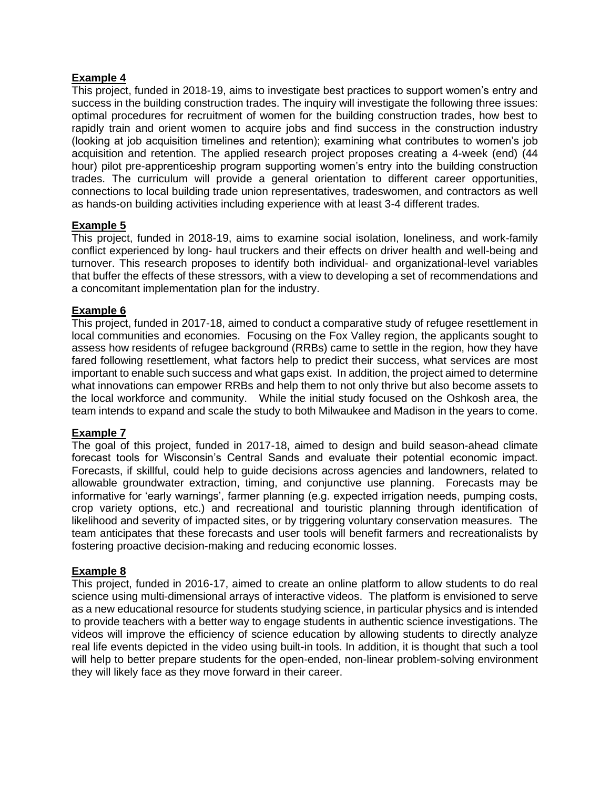## **Example 4**

This project, funded in 2018-19, aims to investigate best practices to support women's entry and success in the building construction trades. The inquiry will investigate the following three issues: optimal procedures for recruitment of women for the building construction trades, how best to rapidly train and orient women to acquire jobs and find success in the construction industry (looking at job acquisition timelines and retention); examining what contributes to women's job acquisition and retention. The applied research project proposes creating a 4-week (end) (44 hour) pilot pre-apprenticeship program supporting women's entry into the building construction trades. The curriculum will provide a general orientation to different career opportunities, connections to local building trade union representatives, tradeswomen, and contractors as well as hands-on building activities including experience with at least 3-4 different trades.

## **Example 5**

This project, funded in 2018-19, aims to examine social isolation, loneliness, and work-family conflict experienced by long- haul truckers and their effects on driver health and well-being and turnover. This research proposes to identify both individual- and organizational-level variables that buffer the effects of these stressors, with a view to developing a set of recommendations and a concomitant implementation plan for the industry.

### **Example 6**

This project, funded in 2017-18, aimed to conduct a comparative study of refugee resettlement in local communities and economies. Focusing on the Fox Valley region, the applicants sought to assess how residents of refugee background (RRBs) came to settle in the region, how they have fared following resettlement, what factors help to predict their success, what services are most important to enable such success and what gaps exist. In addition, the project aimed to determine what innovations can empower RRBs and help them to not only thrive but also become assets to the local workforce and community. While the initial study focused on the Oshkosh area, the team intends to expand and scale the study to both Milwaukee and Madison in the years to come.

### **Example 7**

The goal of this project, funded in 2017-18, aimed to design and build season-ahead climate forecast tools for Wisconsin's Central Sands and evaluate their potential economic impact. Forecasts, if skillful, could help to guide decisions across agencies and landowners, related to allowable groundwater extraction, timing, and conjunctive use planning. Forecasts may be informative for 'early warnings', farmer planning (e.g. expected irrigation needs, pumping costs, crop variety options, etc.) and recreational and touristic planning through identification of likelihood and severity of impacted sites, or by triggering voluntary conservation measures. The team anticipates that these forecasts and user tools will benefit farmers and recreationalists by fostering proactive decision-making and reducing economic losses.

### **Example 8**

This project, funded in 2016-17, aimed to create an online platform to allow students to do real science using multi-dimensional arrays of interactive videos. The platform is envisioned to serve as a new educational resource for students studying science, in particular physics and is intended to provide teachers with a better way to engage students in authentic science investigations. The videos will improve the efficiency of science education by allowing students to directly analyze real life events depicted in the video using built-in tools. In addition, it is thought that such a tool will help to better prepare students for the open-ended, non-linear problem-solving environment they will likely face as they move forward in their career.